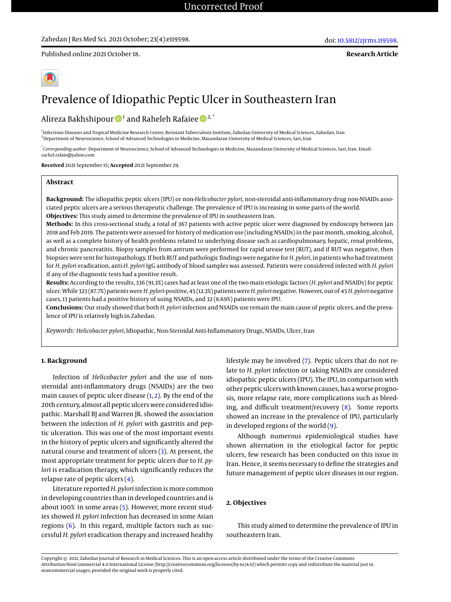#### Zahedan J Res Med Sci. 2021 October; 23(4):e119598.

Published online 2021 October 18.

**Research Article**



# Prevalence of Idiopathic Peptic Ulcer in Southeastern Iran

Alireza Bakhshipour  $\mathbf{\mathbb{D}}^{1}$  and Raheleh Rafaiee  $\mathbf{\mathbb{D}}^{2,\text{*}}$ 

1 Infectious Diseases and Tropical Medicine Research Center, Resistant Tuberculosis Institute, Zahedan University of Medical Sciences, Zahedan, Iran <sup>2</sup> Department of Neuroscience, School of Advanced Technologies in Medicine, Mazandaran University of Medical Sciences, Sari, Iran

\* *Corresponding author*: Department of Neuroscience, School of Advanced Technologies in Medicine, Mazandaran University of Medical Sciences, Sari, Iran. Email: rachel.rafaie@yahoo.com

**Received** 2021 September 15; **Accepted** 2021 September 29.

#### **Abstract**

**Background:** The idiopathic peptic ulcers (IPU) or non-*Helicobacter pylori*, non-steroidal anti-inflammatory drug non-NSAIDs associated peptic ulcers are a serious therapeutic challenge. The prevalence of IPU is increasing in some parts of the world. **Objectives:** This study aimed to determine the prevalence of IPU in southeastern Iran.

**Methods:** In this cross-sectional study, a total of 367 patients with active peptic ulcer were diagnosed by endoscopy between Jan 2018 and Feb 2019. The patients were assessed for history of medication use (including NSAIDs) in the past month, smoking, alcohol, as well as a complete history of health problems related to underlying disease such as cardiopulmonary, hepatic, renal problems, and chronic pancreatitis. Biopsy samples from antrum were performed for rapid urease test (RUT), and if RUT was negative, then biopsies were sent for histopathology. If both RUT and pathologic findings were negative for*H. pylori*, in patients who had treatment for *H. pylori* eradication, anti-*H. pylori* IgG antibody of blood samples was assessed. Patients were considered infected with *H. pylori* if any of the diagnostic tests had a positive result.

**Results:** According to the results, 336 (91.3%) cases had at least one of the two main etiologic factors (*H. pylori* and NSAIDs) for peptic ulcer. While 323 (87.7%) patients were*H. pylori*-positive, 45 (12.3%) patients were*H. pylori*-negative. However, out of 45*H. pylori*-negative cases, 13 patients had a positive history of using NSAIDs, and 32 (8.69%) patients were IPU.

**Conclusions:** Our study showed that both *H. pylori* infection and NSAIDs use remain the main cause of peptic ulcers, and the prevalence of IPU is relatively high in Zahedan.

*Keywords: Helicobacter pylori*, Idiopathic, Non-Steroidal Anti-Inflammatory Drugs, NSAIDs, Ulcer, Iran

#### **1. Background**

Infection of *Helicobacter pylori* and the use of nonsteroidal anti-inflammatory drugs (NSAIDs) are the two main causes of peptic ulcer disease [\(1,](#page-3-0) [2\)](#page-3-1). By the end of the 20th century, almost all peptic ulcers were considered idiopathic. Marshall BJ and Warren JR. showed the association between the infection of *H. pylori* with gastritis and peptic ulceration. This was one of the most important events in the history of peptic ulcers and significantly altered the natural course and treatment of ulcers [\(3\)](#page-3-2). At present, the most appropriate treatment for peptic ulcers due to *H. pylori* is eradication therapy, which significantly reduces the relapse rate of peptic ulcers  $(4)$ .

Literature reported*H. pylori* infection is more common in developing countries than in developed countries and is about 100% in some areas [\(5\)](#page-3-4). However, more recent studies showed *H. pylori* infection has decreased in some Asian regions [\(6\)](#page-3-5). In this regard, multiple factors such as successful *H. pylori* eradication therapy and increased healthy lifestyle may be involved [\(7\)](#page-3-6). Peptic ulcers that do not relate to *H. pylori* infection or taking NSAIDs are considered idiopathic peptic ulcers (IPU). The IPU, in comparison with other peptic ulcers with known causes, has a worse prognosis, more relapse rate, more complications such as bleeding, and difficult treatment/recovery [\(8\)](#page-3-7). Some reports showed an increase in the prevalence of IPU, particularly in developed regions of the world  $(9)$ .

Although numerous epidemiological studies have shown alternation in the etiological factor for peptic ulcers, few research has been conducted on this issue in Iran. Hence, it seems necessary to define the strategies and future management of peptic ulcer diseases in our region.

#### **2. Objectives**

This study aimed to determine the prevalence of IPU in southeastern Iran.

Copyright © 2021, Zahedan Journal of Research in Medical Sciences. This is an open-access article distributed under the terms of the Creative Commons Attribution-NonCommercial 4.0 International License (http://creativecommons.org/licenses/by-nc/4.0/) which permits copy and redistribute the material just in noncommercial usages, provided the original work is properly cited.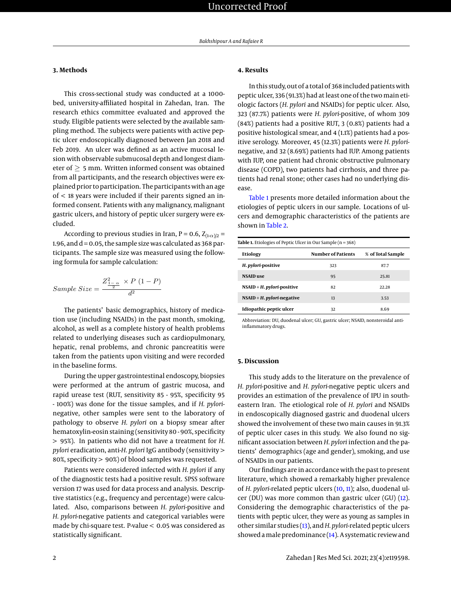#### **3. Methods**

This cross-sectional study was conducted at a 1000 bed, university-affiliated hospital in Zahedan, Iran. The research ethics committee evaluated and approved the study. Eligible patients were selected by the available sampling method. The subjects were patients with active peptic ulcer endoscopically diagnosed between Jan 2018 and Feb 2019. An ulcer was defined as an active mucosal lesion with observable submucosal depth and longest diameter of  $> 5$  mm. Written informed consent was obtained from all participants, and the research objectives were explained prior to participation. The participants with an age of < 18 years were included if their parents signed an informed consent. Patients with any malignancy, malignant gastric ulcers, and history of peptic ulcer surgery were excluded.

According to previous studies in Iran,  $P = 0.6$ ,  $Z_{(1-\alpha)/2} =$ 1.96, and  $d = 0.05$ , the sample size was calculated as 368 participants. The sample size was measured using the following formula for sample calculation:

$$
Sample\ Size = \frac{Z_{\frac{1}{2} - \alpha}^2 \times P(1 - P)}{d^2}
$$

The patients' basic demographics, history of medication use (including NSAIDs) in the past month, smoking, alcohol, as well as a complete history of health problems related to underlying diseases such as cardiopulmonary, hepatic, renal problems, and chronic pancreatitis were taken from the patients upon visiting and were recorded in the baseline forms.

During the upper gastrointestinal endoscopy, biopsies were performed at the antrum of gastric mucosa, and rapid urease test (RUT, sensitivity 85 - 95%, specificity 95 - 100%) was done for the tissue samples, and if *H. pylori*negative, other samples were sent to the laboratory of pathology to observe *H. pylori* on a biopsy smear after hematoxylin-eosin staining (sensitivity 80 - 90%, specificity > 95%). In patients who did not have a treatment for *H. pylori* eradication, anti-*H. pylori* IgG antibody (sensitivity > 80%, specificity > 90%) of blood samples was requested.

Patients were considered infected with *H. pylori* if any of the diagnostic tests had a positive result. SPSS software version 17 was used for data process and analysis. Descriptive statistics (e.g., frequency and percentage) were calculated. Also, comparisons between *H. pylori*-positive and *H. pylori*-negative patients and categorical variables were made by chi-square test. P-value < 0.05 was considered as statistically significant.

### **4. Results**

In this study, out of a total of 368 included patients with peptic ulcer, 336 (91.3%) had at least one of the two main etiologic factors (*H. pylori* and NSAIDs) for peptic ulcer. Also, 323 (87.7%) patients were *H. pylori*-positive, of whom 309 (84%) patients had a positive RUT, 3 (0.8%) patients had a positive histological smear, and 4 (1.1%) patients had a positive serology. Moreover, 45 (12.3%) patients were *H. pylori*negative, and 32 (8.69%) patients had IUP. Among patients with IUP, one patient had chronic obstructive pulmonary disease (COPD), two patients had cirrhosis, and three patients had renal stone; other cases had no underlying disease.

[Table 1](#page-1-0) presents more detailed information about the etiologies of peptic ulcers in our sample. Locations of ulcers and demographic characteristics of the patients are shown in [Table 2.](#page-2-0)

<span id="page-1-0"></span>

| <b>Table 1.</b> Etiologies of Peptic Ulcer in Our Sample ( $n = 368$ ) |                           |                   |  |  |  |  |
|------------------------------------------------------------------------|---------------------------|-------------------|--|--|--|--|
| <b>Etiology</b>                                                        | <b>Number of Patients</b> | % of Total Sample |  |  |  |  |
| H. pylori-positive                                                     | 323                       | 87.7              |  |  |  |  |
| <b>NSAID</b> use                                                       | 95                        | 25.81             |  |  |  |  |
| $NSAID + H.$ <i>pylori-positive</i>                                    | 82                        | 22.28             |  |  |  |  |
| $NSAID + H.$ <i>pylori-negative</i>                                    | 13                        | 3.53              |  |  |  |  |
| Idiopathic peptic ulcer                                                | 32                        | 8.69              |  |  |  |  |

Abbreviation: DU, duodenal ulcer; GU, gastric ulcer; NSAID, nonsteroidal antiinflammatory drugs.

#### **5. Discussion**

This study adds to the literature on the prevalence of *H. pylori*-positive and *H. pylori*-negative peptic ulcers and provides an estimation of the prevalence of IPU in southeastern Iran. The etiological role of *H. pylori* and NSAIDs in endoscopically diagnosed gastric and duodenal ulcers showed the involvement of these two main causes in 91.3% of peptic ulcer cases in this study. We also found no significant association between *H. pylori* infection and the patients' demographics (age and gender), smoking, and use of NSAIDs in our patients.

Our findings are in accordance with the past to present literature, which showed a remarkably higher prevalence of *H. pylori*-related peptic ulcers [\(10,](#page-3-9) [11\)](#page-3-10); also, duodenal ulcer (DU) was more common than gastric ulcer (GU) [\(12\)](#page-3-11). Considering the demographic characteristics of the patients with peptic ulcer, they were as young as samples in other similar studies [\(13\)](#page-4-0), and*H. pylori*-related peptic ulcers showed amale predominance [\(14\)](#page-4-1). A systematic review and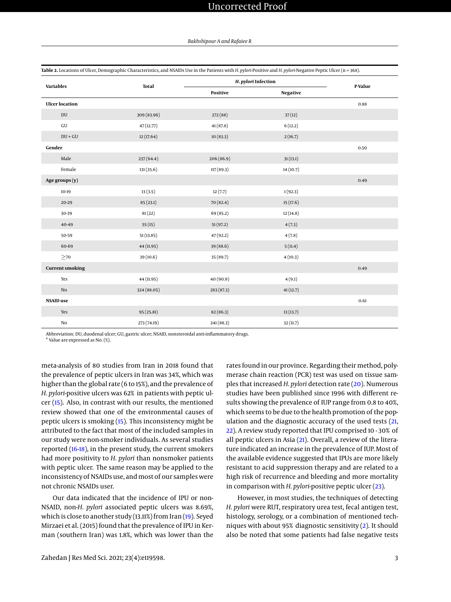| <b>Variables</b>           | <b>Total</b> | H. pylori Infection |                 | P-Value |
|----------------------------|--------------|---------------------|-----------------|---------|
|                            |              | Positive            | <b>Negative</b> |         |
| <b>Ulcer</b> location      |              |                     |                 | 0.88    |
| $\mathop{\rm DU}\nolimits$ | 309 (83.96)  | 272(88)             | 37(12)          |         |
| ${\rm GU}$                 | 47(12.77)    | 41(87.8)            | 6(12.2)         |         |
| $DU+GU$                    | 12(17.64)    | 10(83.3)            | 2(16.7)         |         |
| Gender                     |              |                     |                 | 0.50    |
| Male                       | 237(64.4)    | 206(86.9)           | 31(13.1)        |         |
| Female                     | 131(35.6)    | 117(89.3)           | 14(10.7)        |         |
| Age groups (y)             |              |                     |                 | 0.49    |
| $10-19$                    | 13(3.5)      | 12(7.7)             | 1(92.3)         |         |
| 20-29                      | 85(23.1)     | 70 (82.4)           | 15(17.6)        |         |
| 30-39                      | 81(22)       | 69 (85.2)           | 12(14.8)        |         |
| 40-49                      | 55(15)       | 51(97.2)            | 4(7.3)          |         |
| 50-59                      | 51(13.85)    | 47(92.2)            | 4(7.8)          |         |
| 60-69                      | 44 (11.95)   | 39 (88.6)           | 5(11.4)         |         |
| $\geq$ 70                  | 39 (10.6)    | 35 (89.7)           | 4(10.3)         |         |
| <b>Current smoking</b>     |              |                     |                 | 0.49    |
| Yes                        | 44 (11.95)   | 40 (90.9)           | 4(9.1)          |         |
| No                         | 324 (88.05)  | 283(87.3)           | 41(12.7)        |         |
| <b>NSAID</b> use           |              |                     |                 | 0.61    |
| Yes                        | 95(25.81)    | 82 (86.3)           | 13(13.7)        |         |
| $\rm No$                   | 273 (74.19)  | 241(88.3)           | 32(11.7)        |         |

<span id="page-2-0"></span>**Table 2.** Locations of Ulcer, Demographic Characteristics, and NSAIDs Use in the Patients with *H. pylori*-Positive and *H. pylori*-Negative Peptic Ulcer (n = 368).

Abbreviation: DU, duodenal ulcer; GU, gastric ulcer; NSAID, nonsteroidal anti-inflammatory drugs.

<sup>a</sup> Value are expressed as No. (%).

meta-analysis of 80 studies from Iran in 2018 found that the prevalence of peptic ulcers in Iran was 34%, which was higher than the global rate (6 to 15%), and the prevalence of *H. pylori*-positive ulcers was 62% in patients with peptic ulcer [\(15\)](#page-4-2). Also, in contrast with our results, the mentioned review showed that one of the environmental causes of peptic ulcers is smoking [\(15\)](#page-4-2). This inconsistency might be attributed to the fact that most of the included samples in our study were non-smoker individuals. As several studies reported [\(16-](#page-4-3)[18\)](#page-4-4), in the present study, the current smokers had more positivity to *H. pylori* than nonsmoker patients with peptic ulcer. The same reason may be applied to the inconsistency of NSAIDs use, and most of our samples were not chronic NSAIDs user.

Our data indicated that the incidence of IPU or non-NSAID, non-*H. pylori* associated peptic ulcers was 8.69%, which is close to another study (13.11%) from Iran [\(19\)](#page-4-5). Seyed Mirzaei et al. (2015) found that the prevalence of IPU in Kerman (southern Iran) was 1.8%, which was lower than the

rates found in our province. Regarding their method, polymerase chain reaction (PCR) test was used on tissue samples that increased *H. pylori* detection rate [\(20\)](#page-4-6). Numerous studies have been published since 1996 with different results showing the prevalence of IUP range from 0.8 to 40%, which seems to be due to the health promotion of the population and the diagnostic accuracy of the used tests [\(21,](#page-4-7) [22\)](#page-4-8). A review study reported that IPU comprised 10 - 30% of all peptic ulcers in Asia [\(21\)](#page-4-7). Overall, a review of the literature indicated an increase in the prevalence of IUP. Most of the available evidence suggested that IPUs are more likely resistant to acid suppression therapy and are related to a high risk of recurrence and bleeding and more mortality in comparison with *H. pylori*-positive peptic ulcer [\(23\)](#page-4-9).

However, in most studies, the techniques of detecting *H. pylori* were RUT, respiratory urea test, fecal antigen test, histology, serology, or a combination of mentioned techniques with about 95% diagnostic sensitivity [\(2\)](#page-3-1). It should also be noted that some patients had false negative tests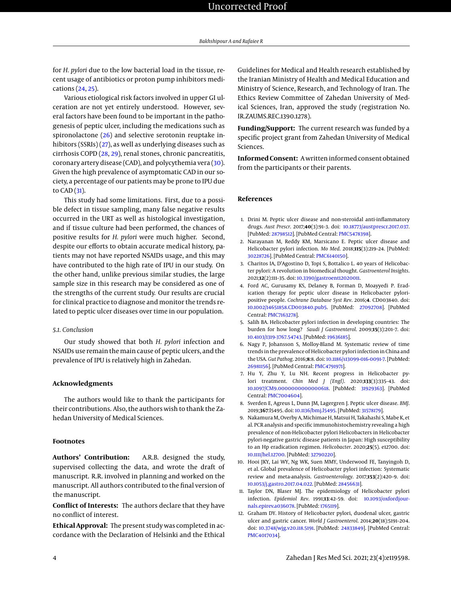for *H. pylori* due to the low bacterial load in the tissue, recent usage of antibiotics or proton pump inhibitors medications [\(24,](#page-4-10) [25\)](#page-4-11).

Various etiological risk factors involved in upper GI ulceration are not yet entirely understood. However, several factors have been found to be important in the pathogenesis of peptic ulcer, including the medications such as spironolactone [\(26\)](#page-4-12) and selective serotonin reuptake inhibitors (SSRIs) [\(27\)](#page-4-13), as well as underlying diseases such as cirrhosis COPD [\(28,](#page-4-14) [29\)](#page-4-15), renal stones, chronic pancreatitis, coronary artery disease (CAD), and polycythemia vera [\(30\)](#page-4-16). Given the high prevalence of asymptomatic CAD in our society, a percentage of our patients may be prone to IPU due to CAD $(31)$ .

This study had some limitations. First, due to a possible defect in tissue sampling, many false negative results occurred in the URT as well as histological investigation, and if tissue culture had been performed, the chances of positive results for *H. pylori* were much higher. Second, despite our efforts to obtain accurate medical history, patients may not have reported NSAIDs usage, and this may have contributed to the high rate of IPU in our study. On the other hand, unlike previous similar studies, the large sample size in this research may be considered as one of the strengths of the current study. Our results are crucial for clinical practice to diagnose and monitor the trends related to peptic ulcer diseases over time in our population.

#### *5.1. Conclusion*

Our study showed that both *H. pylori* infection and NSAIDs use remain the main cause of peptic ulcers, and the prevalence of IPU is relatively high in Zahedan.

#### **Acknowledgments**

The authors would like to thank the participants for their contributions. Also, the authors wish to thank the Zahedan University of Medical Sciences.

#### **Footnotes**

**Authors' Contribution:** A.R.B. designed the study, supervised collecting the data, and wrote the draft of manuscript. R.R. involved in planning and worked on the manuscript. All authors contributed to the final version of the manuscript.

**Conflict of Interests:** The authors declare that they have no conflict of interest.

**Ethical Approval:** The present study was completed in accordance with the Declaration of Helsinki and the Ethical Guidelines for Medical and Health research established by the Iranian Ministry of Health and Medical Education and Ministry of Science, Research, and Technology of Iran. The Ethics Review Committee of Zahedan University of Medical Sciences, Iran, approved the study (registration No. IR.ZAUMS.REC.1390.1278).

**Funding/Support:** The current research was funded by a specific project grant from Zahedan University of Medical Sciences.

**Informed Consent:** A written informed consent obtained from the participants or their parents.

#### **References**

- <span id="page-3-0"></span>1. Drini M. Peptic ulcer disease and non-steroidal anti-inflammatory drugs. *Aust Prescr*. 2017;**40**(3):91–3. doi: [10.18773/austprescr.2017.037.](http://dx.doi.org/10.18773/austprescr.2017.037) [PubMed: [28798512\]](http://www.ncbi.nlm.nih.gov/pubmed/28798512). [PubMed Central: [PMC5478398\]](https://www.ncbi.nlm.nih.gov/pmc/articles/PMC5478398).
- <span id="page-3-1"></span>2. Narayanan M, Reddy KM, Marsicano E. Peptic ulcer disease and Helicobacter pylori infection. *Mo Med*. 2018;**115**(3):219–24. [PubMed: [30228726\]](http://www.ncbi.nlm.nih.gov/pubmed/30228726). [PubMed Central: [PMC6140150\]](https://www.ncbi.nlm.nih.gov/pmc/articles/PMC6140150).
- <span id="page-3-2"></span>3. Charitos IA, D'Agostino D, Topi S, Bottalico L. 40 years of Helicobacter pylori: A revolution in biomedical thought. *Gastroenterol Insights*. 2021;**12**(2):111–35. doi: [10.3390/gastroent12020011.](http://dx.doi.org/10.3390/gastroent12020011)
- <span id="page-3-3"></span>4. Ford AC, Gurusamy KS, Delaney B, Forman D, Moayyedi P. Eradication therapy for peptic ulcer disease in Helicobacter pyloripositive people. *Cochrane Database Syst Rev*. 2016;**4**. CD003840. doi: [10.1002/14651858.CD003840.pub5.](http://dx.doi.org/10.1002/14651858.CD003840.pub5) [PubMed: [27092708\]](http://www.ncbi.nlm.nih.gov/pubmed/27092708). [PubMed Central: [PMC7163278\]](https://www.ncbi.nlm.nih.gov/pmc/articles/PMC7163278).
- <span id="page-3-4"></span>5. Salih BA. Helicobacter pylori infection in developing countries: The burden for how long? *Saudi J Gastroenterol*. 2009;**15**(3):201–7. doi: [10.4103/1319-3767.54743.](http://dx.doi.org/10.4103/1319-3767.54743) [PubMed: [19636185\]](http://www.ncbi.nlm.nih.gov/pubmed/19636185).
- <span id="page-3-5"></span>6. Nagy P, Johansson S, Molloy-Bland M. Systematic review of time trends in the prevalence of Helicobacter pylori infection in China and the USA. *Gut Pathog*. 2016;**8**:8. doi: [10.1186/s13099-016-0091-7.](http://dx.doi.org/10.1186/s13099-016-0091-7) [PubMed: [26981156\]](http://www.ncbi.nlm.nih.gov/pubmed/26981156). [PubMed Central: [PMC4791971\]](https://www.ncbi.nlm.nih.gov/pmc/articles/PMC4791971).
- <span id="page-3-6"></span>7. Hu Y, Zhu Y, Lu NH. Recent progress in Helicobacter pylori treatment. *Chin Med J (Engl)*. 2020;**133**(3):335–43. doi: [10.1097/CM9.0000000000000618.](http://dx.doi.org/10.1097/CM9.0000000000000618) [PubMed: [31929363\]](http://www.ncbi.nlm.nih.gov/pubmed/31929363). [PubMed Central: [PMC7004604\]](https://www.ncbi.nlm.nih.gov/pmc/articles/PMC7004604).
- <span id="page-3-7"></span>8. Sverden E, Agreus L, Dunn JM, Lagergren J. Peptic ulcer disease. *BMJ*. 2019;**367**:l5495. doi: [10.1136/bmj.l5495.](http://dx.doi.org/10.1136/bmj.l5495) [PubMed: [31578179\]](http://www.ncbi.nlm.nih.gov/pubmed/31578179).
- <span id="page-3-8"></span>9. Nakamura M, Overby A, Michimae H, Matsui H, Takahashi S, Mabe K, et al. PCR analysis and specific immunohistochemistry revealing a high prevalence of non-Helicobacter pylori Helicobacters in Helicobacter pylori-negative gastric disease patients in Japan: High susceptibility to an Hp eradication regimen. *Helicobacter*. 2020;**25**(5). e12700. doi: [10.1111/hel.12700.](http://dx.doi.org/10.1111/hel.12700) [PubMed: [32790220\]](http://www.ncbi.nlm.nih.gov/pubmed/32790220).
- <span id="page-3-9"></span>10. Hooi JKY, Lai WY, Ng WK, Suen MMY, Underwood FE, Tanyingoh D, et al. Global prevalence of Helicobacter pylori infection: Systematic review and meta-analysis. *Gastroenterology*. 2017;**153**(2):420–9. doi: [10.1053/j.gastro.2017.04.022.](http://dx.doi.org/10.1053/j.gastro.2017.04.022) [PubMed: [28456631\]](http://www.ncbi.nlm.nih.gov/pubmed/28456631).
- <span id="page-3-10"></span>11. Taylor DN, Blaser MJ. The epidemiology of Helicobacter pylori infection. *Epidemiol Rev*. 1991;**13**:42–59. doi: [10.1093/oxfordjour](http://dx.doi.org/10.1093/oxfordjournals.epirev.a036078)[nals.epirev.a036078.](http://dx.doi.org/10.1093/oxfordjournals.epirev.a036078) [PubMed: [1765119\]](http://www.ncbi.nlm.nih.gov/pubmed/1765119).
- <span id="page-3-11"></span>12. Graham DY. History of Helicobacter pylori, duodenal ulcer, gastric ulcer and gastric cancer. *World J Gastroenterol*. 2014;**20**(18):5191–204. doi: [10.3748/wjg.v20.i18.5191.](http://dx.doi.org/10.3748/wjg.v20.i18.5191) [PubMed: [24833849\]](http://www.ncbi.nlm.nih.gov/pubmed/24833849). [PubMed Central: [PMC4017034\]](https://www.ncbi.nlm.nih.gov/pmc/articles/PMC4017034).